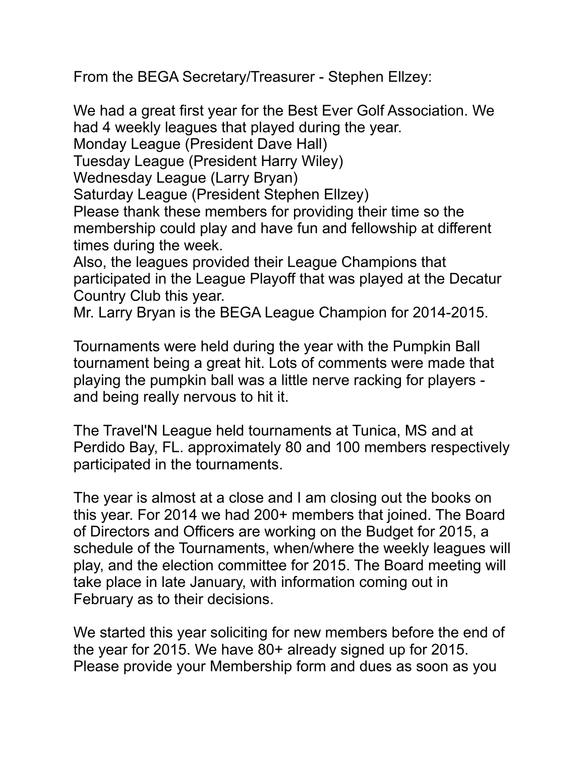From the BEGA Secretary/Treasurer - Stephen Ellzey:

We had a great first year for the Best Ever Golf Association. We had 4 weekly leagues that played during the year. Monday League (President Dave Hall) Tuesday League (President Harry Wiley) Wednesday League (Larry Bryan) Saturday League (President Stephen Ellzey) Please thank these members for providing their time so the membership could play and have fun and fellowship at different times during the week. Also, the leagues provided their League Champions that participated in the League Playoff that was played at the Decatur

Country Club this year.

Mr. Larry Bryan is the BEGA League Champion for 2014-2015.

Tournaments were held during the year with the Pumpkin Ball tournament being a great hit. Lots of comments were made that playing the pumpkin ball was a little nerve racking for players and being really nervous to hit it.

The Travel'N League held tournaments at Tunica, MS and at Perdido Bay, FL. approximately 80 and 100 members respectively participated in the tournaments.

The year is almost at a close and I am closing out the books on this year. For 2014 we had 200+ members that joined. The Board of Directors and Officers are working on the Budget for 2015, a schedule of the Tournaments, when/where the weekly leagues will play, and the election committee for 2015. The Board meeting will take place in late January, with information coming out in February as to their decisions.

We started this year soliciting for new members before the end of the year for 2015. We have 80+ already signed up for 2015. Please provide your Membership form and dues as soon as you